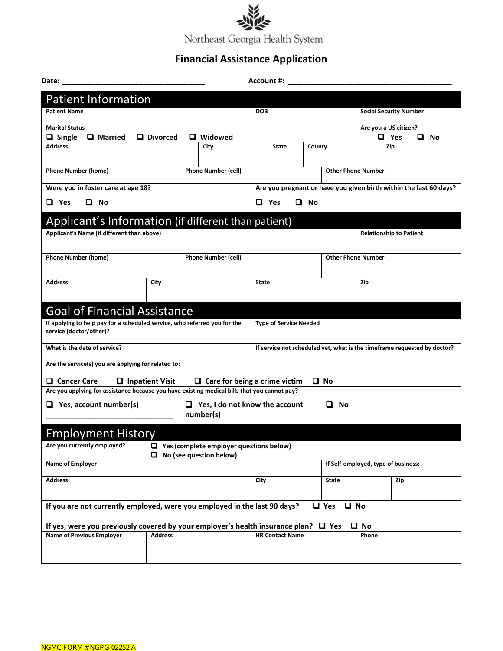

## **Financial Assistance Application**

| Date:<br>Account #:                                                                                  |                        |                                                    |                                                                          |                                                                   |  |                                     |                               |  |  |  |  |
|------------------------------------------------------------------------------------------------------|------------------------|----------------------------------------------------|--------------------------------------------------------------------------|-------------------------------------------------------------------|--|-------------------------------------|-------------------------------|--|--|--|--|
| <b>Patient Information</b>                                                                           |                        |                                                    |                                                                          |                                                                   |  |                                     |                               |  |  |  |  |
| <b>Patient Name</b>                                                                                  |                        |                                                    | <b>DOB</b>                                                               |                                                                   |  |                                     | <b>Social Security Number</b> |  |  |  |  |
| <b>Marital Status</b>                                                                                |                        |                                                    |                                                                          |                                                                   |  |                                     | Are you a US citizen?         |  |  |  |  |
| $\Box$ Single<br>$\Box$ Married<br>$\Box$ Widowed<br>$\Box$ Divorced<br><b>Address</b><br>City       |                        |                                                    | <b>State</b><br>County                                                   |                                                                   |  | $\Box$ Yes<br>□ No<br>Zip           |                               |  |  |  |  |
|                                                                                                      |                        |                                                    |                                                                          |                                                                   |  |                                     |                               |  |  |  |  |
| <b>Phone Number (home)</b>                                                                           |                        | <b>Phone Number (cell)</b>                         |                                                                          |                                                                   |  | <b>Other Phone Number</b>           |                               |  |  |  |  |
| Were you in foster care at age 18?                                                                   |                        |                                                    |                                                                          | Are you pregnant or have you given birth within the last 60 days? |  |                                     |                               |  |  |  |  |
| <b>Q</b> No<br>$\Box$ Yes                                                                            |                        |                                                    | $\Box$ Yes<br><b>Q</b> No                                                |                                                                   |  |                                     |                               |  |  |  |  |
| Applicant's Information (if different than patient)                                                  |                        |                                                    |                                                                          |                                                                   |  |                                     |                               |  |  |  |  |
| Applicant's Name (if different than above)                                                           |                        |                                                    |                                                                          |                                                                   |  | <b>Relationship to Patient</b>      |                               |  |  |  |  |
|                                                                                                      |                        |                                                    |                                                                          |                                                                   |  |                                     |                               |  |  |  |  |
| <b>Phone Number (home)</b><br><b>Phone Number (cell)</b>                                             |                        |                                                    |                                                                          |                                                                   |  |                                     | <b>Other Phone Number</b>     |  |  |  |  |
| <b>Address</b>                                                                                       | City                   |                                                    | <b>State</b>                                                             |                                                                   |  |                                     | Zip                           |  |  |  |  |
|                                                                                                      |                        |                                                    |                                                                          |                                                                   |  |                                     |                               |  |  |  |  |
| <b>Goal of Financial Assistance</b>                                                                  |                        |                                                    |                                                                          |                                                                   |  |                                     |                               |  |  |  |  |
| If applying to help pay for a scheduled service, who referred you for the<br>service (doctor/other)? |                        |                                                    |                                                                          | <b>Type of Service Needed</b>                                     |  |                                     |                               |  |  |  |  |
| What is the date of service?                                                                         |                        |                                                    | If service not scheduled yet, what is the timeframe requested by doctor? |                                                                   |  |                                     |                               |  |  |  |  |
| Are the service(s) you are applying for related to:                                                  |                        |                                                    |                                                                          |                                                                   |  |                                     |                               |  |  |  |  |
| □ Cancer Care                                                                                        | $\Box$ Inpatient Visit | $\Box$ Care for being a crime victim               |                                                                          |                                                                   |  | $\Box$ No                           |                               |  |  |  |  |
| Are you applying for assistance because you have existing medical bills that you cannot pay?         |                        |                                                    |                                                                          |                                                                   |  |                                     |                               |  |  |  |  |
| $\Box$ Yes, account number(s)                                                                        |                        | $\Box$ Yes, I do not know the account<br>number(s) |                                                                          |                                                                   |  | ப<br>No                             |                               |  |  |  |  |
| <b>Employment History</b>                                                                            |                        |                                                    |                                                                          |                                                                   |  |                                     |                               |  |  |  |  |
| Are you currently employed?                                                                          |                        | $\Box$ Yes (complete employer questions below)     |                                                                          |                                                                   |  |                                     |                               |  |  |  |  |
| No (see question below)<br>0<br><b>Name of Employer</b>                                              |                        |                                                    |                                                                          |                                                                   |  | If Self-employed, type of business: |                               |  |  |  |  |
| <b>Address</b>                                                                                       |                        |                                                    | City                                                                     | <b>State</b>                                                      |  |                                     | Zip                           |  |  |  |  |
|                                                                                                      |                        |                                                    |                                                                          |                                                                   |  |                                     |                               |  |  |  |  |
| If you are not currently employed, were you employed in the last 90 days?                            |                        |                                                    |                                                                          |                                                                   |  | $\Box$ Yes<br>$\Box$ No             |                               |  |  |  |  |
| If yes, were you previously covered by your employer's health insurance plan? $\Box$ Yes             |                        |                                                    |                                                                          |                                                                   |  |                                     | $\Box$ No                     |  |  |  |  |
| <b>Name of Previous Employer</b>                                                                     | <b>Address</b>         |                                                    |                                                                          | <b>HR Contact Name</b>                                            |  |                                     | Phone                         |  |  |  |  |